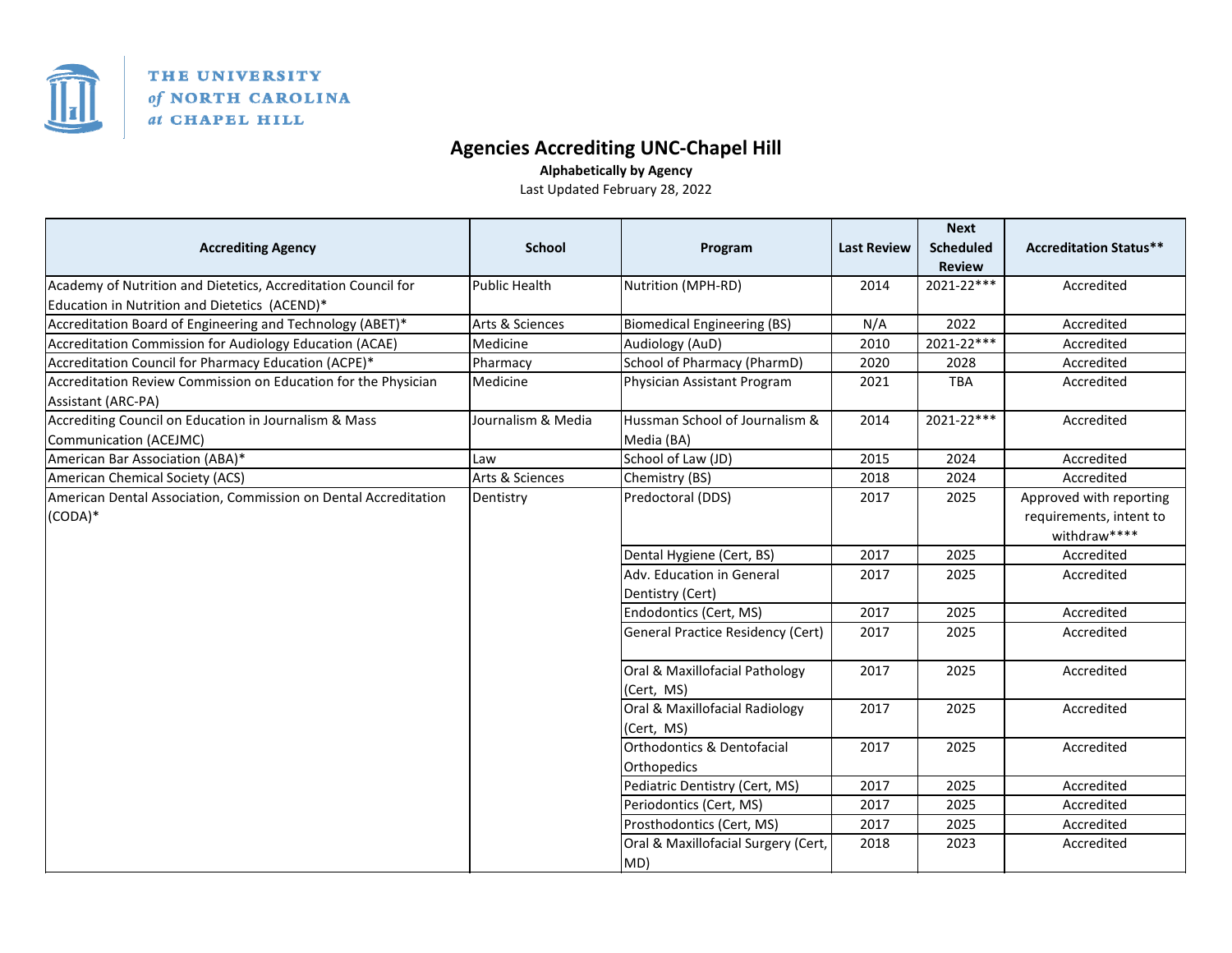

## THE UNIVERSITY of NORTH CAROLINA at CHAPEL HILL

## **Agencies Accrediting UNC‐Chapel Hill**

**Alphabetically by Agency**

Last Updated February 28, 2022

|                                                                                      |                      |                                              |                    | <b>Next</b>      |                               |
|--------------------------------------------------------------------------------------|----------------------|----------------------------------------------|--------------------|------------------|-------------------------------|
| <b>Accrediting Agency</b>                                                            | <b>School</b>        | Program                                      | <b>Last Review</b> | <b>Scheduled</b> | <b>Accreditation Status**</b> |
|                                                                                      |                      |                                              |                    | <b>Review</b>    |                               |
| Academy of Nutrition and Dietetics, Accreditation Council for                        | <b>Public Health</b> | Nutrition (MPH-RD)                           | 2014               | 2021-22***       | Accredited                    |
| Education in Nutrition and Dietetics (ACEND)*                                        |                      |                                              |                    |                  |                               |
| Accreditation Board of Engineering and Technology (ABET)*                            | Arts & Sciences      | <b>Biomedical Engineering (BS)</b>           | N/A                | 2022             | Accredited                    |
| Accreditation Commission for Audiology Education (ACAE)                              | Medicine             | Audiology (AuD)                              | 2010               | 2021-22***       | Accredited                    |
| Accreditation Council for Pharmacy Education (ACPE)*                                 | Pharmacy             | School of Pharmacy (PharmD)                  | 2020               | 2028             | Accredited                    |
| Accreditation Review Commission on Education for the Physician<br>Assistant (ARC-PA) | Medicine             | Physician Assistant Program                  | 2021               | <b>TBA</b>       | Accredited                    |
| Accrediting Council on Education in Journalism & Mass                                | Journalism & Media   | Hussman School of Journalism &               | 2014               | 2021-22***       | Accredited                    |
| Communication (ACEJMC)                                                               |                      | Media (BA)                                   |                    |                  |                               |
| American Bar Association (ABA)*                                                      | Law                  | School of Law (JD)                           | 2015               | 2024             | Accredited                    |
| American Chemical Society (ACS)                                                      | Arts & Sciences      | Chemistry (BS)                               | 2018               | 2024             | Accredited                    |
| American Dental Association, Commission on Dental Accreditation<br>$(CODA)*$         | Dentistry            | Predoctoral (DDS)                            | 2017               | 2025             | Approved with reporting       |
|                                                                                      |                      |                                              |                    |                  | requirements, intent to       |
|                                                                                      |                      |                                              |                    |                  | withdraw****                  |
|                                                                                      |                      | Dental Hygiene (Cert, BS)                    | 2017               | 2025             | Accredited                    |
|                                                                                      |                      | Adv. Education in General                    | 2017               | 2025             | Accredited                    |
|                                                                                      |                      | Dentistry (Cert)                             |                    |                  |                               |
|                                                                                      |                      | Endodontics (Cert, MS)                       | 2017               | 2025             | Accredited                    |
|                                                                                      |                      | <b>General Practice Residency (Cert)</b>     | 2017               | 2025             | Accredited                    |
|                                                                                      |                      | Oral & Maxillofacial Pathology<br>(Cert, MS) | 2017               | 2025             | Accredited                    |
|                                                                                      |                      | Oral & Maxillofacial Radiology               | 2017               | 2025             | Accredited                    |
|                                                                                      |                      | (Cert, MS)                                   |                    |                  |                               |
|                                                                                      |                      | Orthodontics & Dentofacial                   | 2017               | 2025             | Accredited                    |
|                                                                                      |                      | Orthopedics                                  |                    |                  |                               |
|                                                                                      |                      | Pediatric Dentistry (Cert, MS)               | 2017               | 2025             | Accredited                    |
|                                                                                      |                      | Periodontics (Cert, MS)                      | 2017               | 2025             | Accredited                    |
|                                                                                      |                      | Prosthodontics (Cert, MS)                    | 2017               | 2025             | Accredited                    |
|                                                                                      |                      | Oral & Maxillofacial Surgery (Cert,          | 2018               | 2023             | Accredited                    |
|                                                                                      |                      | MD)                                          |                    |                  |                               |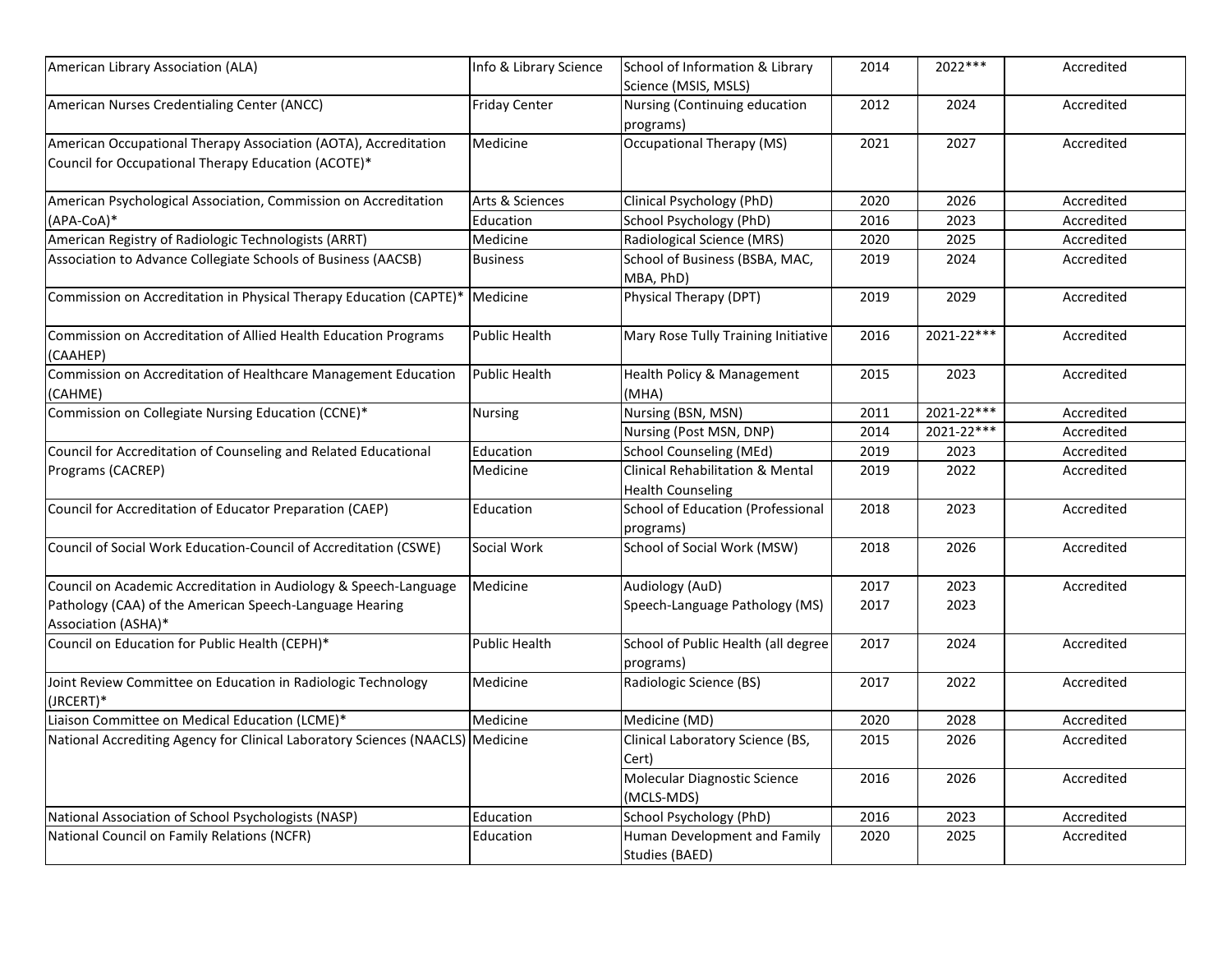| American Library Association (ALA)                                                                                     | Info & Library Science | School of Information & Library<br>Science (MSIS, MSLS)                 | 2014 | $2022***$  | Accredited |
|------------------------------------------------------------------------------------------------------------------------|------------------------|-------------------------------------------------------------------------|------|------------|------------|
| American Nurses Credentialing Center (ANCC)                                                                            | <b>Friday Center</b>   | Nursing (Continuing education<br>programs)                              | 2012 | 2024       | Accredited |
| American Occupational Therapy Association (AOTA), Accreditation<br>Council for Occupational Therapy Education (ACOTE)* | Medicine               | Occupational Therapy (MS)                                               | 2021 | 2027       | Accredited |
| American Psychological Association, Commission on Accreditation                                                        | Arts & Sciences        | Clinical Psychology (PhD)                                               | 2020 | 2026       | Accredited |
| (APA-CoA)*                                                                                                             | Education              | School Psychology (PhD)                                                 | 2016 | 2023       | Accredited |
| American Registry of Radiologic Technologists (ARRT)                                                                   | Medicine               | Radiological Science (MRS)                                              | 2020 | 2025       | Accredited |
| Association to Advance Collegiate Schools of Business (AACSB)                                                          | <b>Business</b>        | School of Business (BSBA, MAC,<br>MBA, PhD)                             | 2019 | 2024       | Accredited |
| Commission on Accreditation in Physical Therapy Education (CAPTE)*                                                     | Medicine               | Physical Therapy (DPT)                                                  | 2019 | 2029       | Accredited |
| Commission on Accreditation of Allied Health Education Programs<br>(CAAHEP)                                            | <b>Public Health</b>   | Mary Rose Tully Training Initiative                                     | 2016 | 2021-22*** | Accredited |
| Commission on Accreditation of Healthcare Management Education<br>CAHME)                                               | <b>Public Health</b>   | Health Policy & Management<br>(MHA)                                     | 2015 | 2023       | Accredited |
| Commission on Collegiate Nursing Education (CCNE)*                                                                     | <b>Nursing</b>         | Nursing (BSN, MSN)                                                      | 2011 | 2021-22*** | Accredited |
|                                                                                                                        |                        | Nursing (Post MSN, DNP)                                                 | 2014 | 2021-22*** | Accredited |
| Council for Accreditation of Counseling and Related Educational                                                        | Education              | <b>School Counseling (MEd)</b>                                          | 2019 | 2023       | Accredited |
| Programs (CACREP)                                                                                                      | Medicine               | <b>Clinical Rehabilitation &amp; Mental</b><br><b>Health Counseling</b> | 2019 | 2022       | Accredited |
| Council for Accreditation of Educator Preparation (CAEP)                                                               | Education              | School of Education (Professional<br>programs)                          | 2018 | 2023       | Accredited |
| Council of Social Work Education-Council of Accreditation (CSWE)                                                       | Social Work            | School of Social Work (MSW)                                             | 2018 | 2026       | Accredited |
| Council on Academic Accreditation in Audiology & Speech-Language                                                       | Medicine               | Audiology (AuD)                                                         | 2017 | 2023       | Accredited |
| Pathology (CAA) of the American Speech-Language Hearing<br>Association (ASHA)*                                         |                        | Speech-Language Pathology (MS)                                          | 2017 | 2023       |            |
| Council on Education for Public Health (CEPH)*                                                                         | <b>Public Health</b>   | School of Public Health (all degree<br>programs)                        | 2017 | 2024       | Accredited |
| Joint Review Committee on Education in Radiologic Technology<br>(JRCERT)*                                              | Medicine               | Radiologic Science (BS)                                                 | 2017 | 2022       | Accredited |
| Liaison Committee on Medical Education (LCME)*                                                                         | Medicine               | Medicine (MD)                                                           | 2020 | 2028       | Accredited |
| National Accrediting Agency for Clinical Laboratory Sciences (NAACLS) Medicine                                         |                        | Clinical Laboratory Science (BS,<br>Cert)                               | 2015 | 2026       | Accredited |
|                                                                                                                        |                        | Molecular Diagnostic Science<br>(MCLS-MDS)                              | 2016 | 2026       | Accredited |
| National Association of School Psychologists (NASP)                                                                    | Education              | School Psychology (PhD)                                                 | 2016 | 2023       | Accredited |
| National Council on Family Relations (NCFR)                                                                            | Education              | Human Development and Family<br>Studies (BAED)                          | 2020 | 2025       | Accredited |